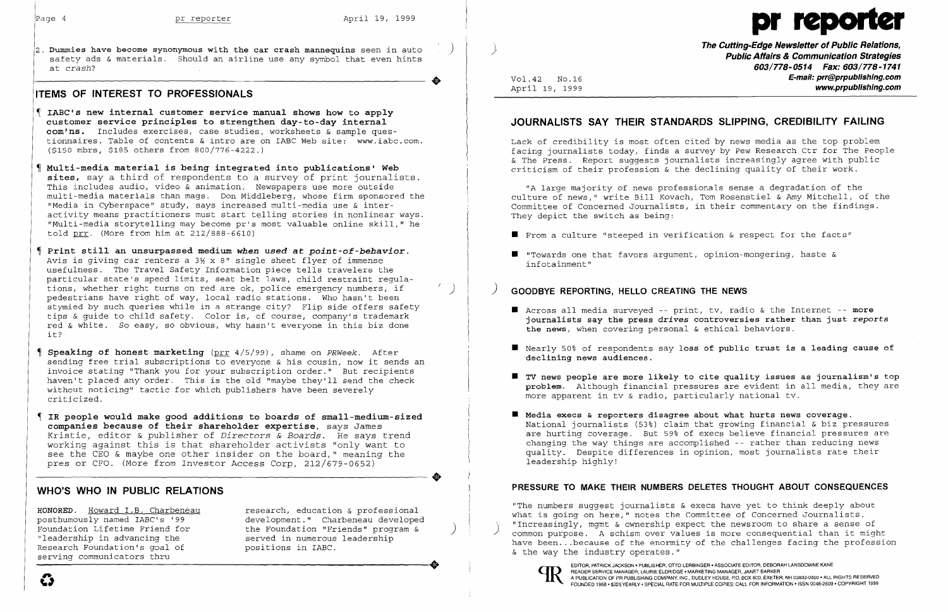**•** 

**•** 

2. **Dummies have become synonymous with the car crash mannequins** seen in auto ) safety ads & materials. Should an airline use any symbol that even hints at *crash?* 

## **ITEMS OF INTEREST TO PROFESSIONALS**

**HONORED.** Howard I.B. Charbeneau research, education & professional posthumously named IABC's '99 development." Charbeneau developed<br>Foundation Lifetime Friend for the Foundation "Friends" program & Foundation Lifetime Friend for The Foundation "Friends" program & )<br>"leadership in advancing the Served in numerous leadership served in numerous leadership<br>positions in IABC.

- **lABe's new internal customer service manual shows how to apply customer service principles to strengthen day-to-day internal com'ns.** Includes exercises, case studies, worksheets & sample questionnaires. Table of contents & intro are on IABC Web site: www.iabc.com. (\$150 mbrs, \$185 others from 800/776-4222.)
- **Multi-media material is being integrated into publications' Web sites,** say a third of respondents to a survey of print journalists. This includes audio, video & animation. Newspapers use more outside multi-media materials than mags. Don Middleberg, whose firm sponsored the "Media in Cyberspace" study, says increased multi-media use & interactivity means practitioners must start telling stories in nonlinear ways. "Multi-media storytelling *may* become pr's most valuable online skill," he told prr. (More from him at 212/888-6610)
- **Print still an unsurpassed medium** *when used* **at** *point-of-behavior.*  Avis is giving car renters a 3% x 8" single sheet flyer of immense usefulness. The Travel Safety Information piece tells travelers the particular state's speed limits, seat belt laws, child restraint regulations, whether right turns on red are ok, police emergency numbers, if ( ) pedestrians have right of way, local radio stations. Who hasn't been stymied by such queries while in a strange city? Flip side offers safety tips & guide to child safety. Color is, of course, company's trademark red & white. So easy, so obvious, why hasn't everyone in this biz done it?
- **Speaking of honest marketing** (prr 4/5/99), shame on *PRWeek.* After sending free trial subscriptions to everyone & his cousin, now it sends an invoice stating "Thank you for your subscription order." But recipients haven't placed any order. This is the old "maybe they'll send the check without noticing" tactic for which publishers have been severely criticized.
- **IR people would make good additions to boards of small-medium-sized companies because of their shareholder expertise,** says James Kristie, editor & publisher of *Directors* & *Boards.* He says trend working against this is that shareholder activists "only want to see the CEO & maybe one other insider on the board," meaning the pres or CFO. (More from Investor Access Corp, 212/679-0652)
- $\blacksquare$  From a culture "steeped in verification & respect for the facts"
- $\blacksquare$  "Towards one that favors argument, opinion-mongering, haste & infotainment"

 $\blacksquare$  TV news people are more likely to cite quality issues as journalism's top **problem.** Although financial pressures are evident in all media, they are

#### **WHO'S WHO IN PUBLIC RELATIONS**

Research Foundation's goal of serving communicators thru Research Foundation's goal of positions in IABC.





**The Cutting-Edge Newsletter of Public Relations,** ) **Public Affairs & Communication Strategies**  *603/778-0514 Fax: 603/778-1741*  Vol. 42 No. 16 **E-mail: prr@prpublishing.com**  April 19, 1999 **www.prpublishing.com** 

## **JOURNALISTS SAY THEIR STANDARDS SLIPPING, CREDIBILITY FAILING**

Lack of credibility is most often cited by news media as the top problem facing journalists today, finds a survey by Pew Research Ctr for The People & The Press. Report suggests journalists increasingly agree with public criticism of their profession & the declining quality of their work.

"A large majority of news professionals sense a degradation of the culture of news," write Bill Kovach, Tom Rosenstiel & Amy Mitchell, of the Committee of Concerned Journalists, in their commentary on the findings. They depict the switch as being:

#### ) **GOODBYE REPORTING, HELLO CREATING THE NEWS**

**journalists say the press** *drives* **controversies rather than just reports** 

**•** Nearly 50% of respondents say loss of public trust is a leading cause of

- • Across all media surveyed -- print, tv, radio & the Internet -- **more the news,** when covering personal & ethical behaviors.
- **declining news audiences.**
- more apparent in tv & radio, particularly national tv.
- **• Media execs & reporters disagree about what hurts news coverage.**  leadership highly!

National journalists (53%) claim that growing financial & biz pressures are hurting coverage. But 59% of execs believe financial pressures are changing the way things are accomplished -- rather than reducing news quality. Despite differences in opinion, most journalists rate their

#### **PRESSURE TO MAKE THEIR NUMBERS DELETES THOUGHT ABOUT CONSEQUENCES**

"The numbers suggest journalists & execs have yet to think deeply about what is going on here," notes the Committee of Concerned Journalists.<br>"Increasingly, mgmt & ownership expect the newsroom to share a sense of common purpose. A schism over values is more consequential than it might have been... because of the enormity of the challenges facing the profession & the way the industry operates."